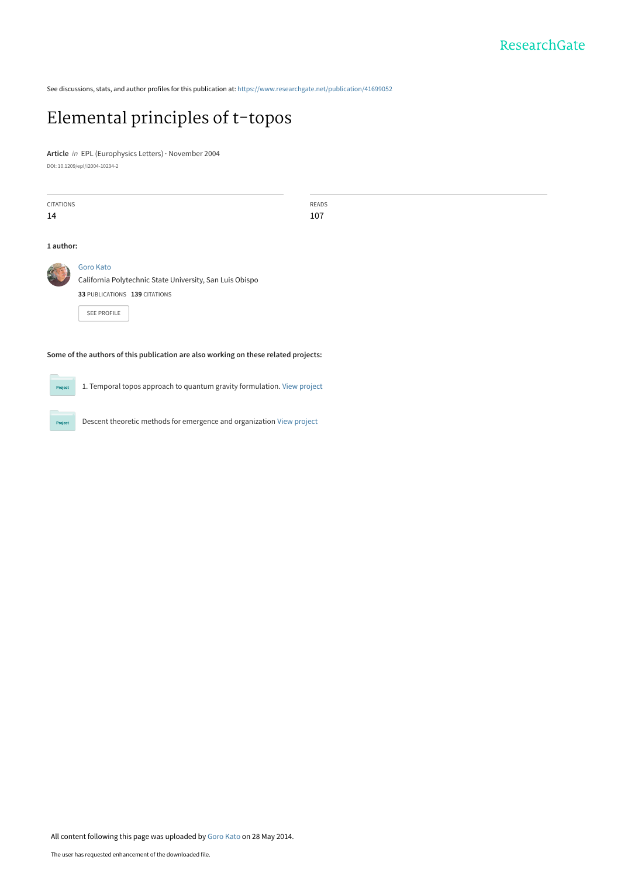See discussions, stats, and author profiles for this publication at: [https://www.researchgate.net/publication/41699052](https://www.researchgate.net/publication/41699052_Elemental_principles_of_t-topos?enrichId=rgreq-96e343243357ca2fed83df1343abf66b-XXX&enrichSource=Y292ZXJQYWdlOzQxNjk5MDUyO0FTOjEwMTY3MDgwMTM3OTMzMUAxNDAxMjUxNjE2NDI4&el=1_x_2&_esc=publicationCoverPdf)

## [Elemental principles of t-topos](https://www.researchgate.net/publication/41699052_Elemental_principles_of_t-topos?enrichId=rgreq-96e343243357ca2fed83df1343abf66b-XXX&enrichSource=Y292ZXJQYWdlOzQxNjk5MDUyO0FTOjEwMTY3MDgwMTM3OTMzMUAxNDAxMjUxNjE2NDI4&el=1_x_3&_esc=publicationCoverPdf)

**Article** in EPL (Europhysics Letters) · November 2004

DOI: 10.1209/epl/i2004-10234-2

 $\overline{\phantom{a}}$ 

| <b>CITATIONS</b>                                                                    |                                                          | <b>READS</b> |
|-------------------------------------------------------------------------------------|----------------------------------------------------------|--------------|
| 14                                                                                  |                                                          | 107          |
|                                                                                     |                                                          |              |
| 1 author:                                                                           |                                                          |              |
|                                                                                     |                                                          |              |
|                                                                                     | <b>Goro Kato</b>                                         |              |
|                                                                                     | California Polytechnic State University, San Luis Obispo |              |
|                                                                                     | 33 PUBLICATIONS 139 CITATIONS                            |              |
|                                                                                     | <b>SEE PROFILE</b>                                       |              |
|                                                                                     |                                                          |              |
|                                                                                     |                                                          |              |
|                                                                                     |                                                          |              |
| Some of the authors of this publication are also working on these related projects: |                                                          |              |

1. Temporal topos approach to quantum gravity formulation. [View project](https://www.researchgate.net/project/1-Temporal-topos-approach-to-quantum-gravity-formulation?enrichId=rgreq-96e343243357ca2fed83df1343abf66b-XXX&enrichSource=Y292ZXJQYWdlOzQxNjk5MDUyO0FTOjEwMTY3MDgwMTM3OTMzMUAxNDAxMjUxNjE2NDI4&el=1_x_9&_esc=publicationCoverPdf)

Descent theoretic methods for emergence and organization [View project](https://www.researchgate.net/project/Descent-theoretic-methods-for-emergence-and-organization?enrichId=rgreq-96e343243357ca2fed83df1343abf66b-XXX&enrichSource=Y292ZXJQYWdlOzQxNjk5MDUyO0FTOjEwMTY3MDgwMTM3OTMzMUAxNDAxMjUxNjE2NDI4&el=1_x_9&_esc=publicationCoverPdf)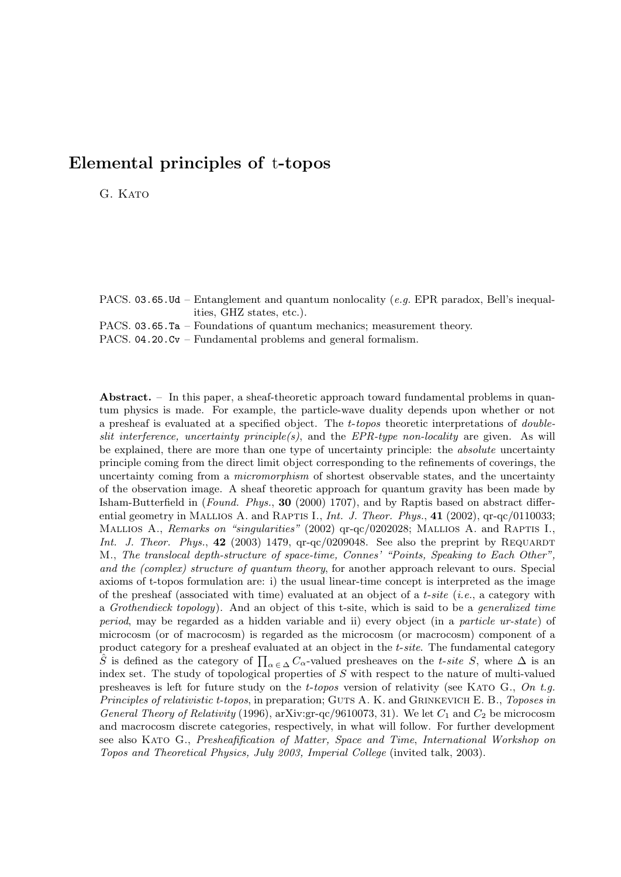## **Elemental principles of** t**-topos**

G. KATO

PACS. 03.65.Ud – Entanglement and quantum nonlocality (*e.g.* EPR paradox, Bell's inequalities, GHZ states, etc.).

PACS. 03.65.Ta – Foundations of quantum mechanics; measurement theory.

PACS. 04.20.Cv – Fundamental problems and general formalism.

**Abstract.** – In this paper, a sheaf-theoretic approach toward fundamental problems in quantum physics is made. For example, the particle-wave duality depends upon whether or not a presheaf is evaluated at a specified object. The *t*-*topos* theoretic interpretations of *doubleslit interference, uncertainty principle(s)*, and the *EPR-type non-locality* are given. As will be explained, there are more than one type of uncertainty principle: the *absolute* uncertainty principle coming from the direct limit object corresponding to the refinements of coverings, the uncertainty coming from a *micromorphism* of shortest observable states, and the uncertainty of the observation image. A sheaf theoretic approach for quantum gravity has been made by Isham-Butterfield in (*Found. Phys.*, **30** (2000) 1707), and by Raptis based on abstract differential geometry in MALLIOS A. and RAPTIS I., *Int. J. Theor. Phys.*, **41** (2002),  $q\text{r}-q\text{c}/0110033$ ; Mallios A., *Remarks on "singularities"* (2002) qr-qc/0202028; Mallios A. and RAPTIS I., *Int. J. Theor. Phys.*,  $42$  (2003) 1479,  $q\text{r}-q\text{c}/0209048$ . See also the preprint by REQUARDT M., *The translocal depth-structure of space-time, Connes' "Points, Speaking to Each Other", and the (complex) structure of quantum theory*, for another approach relevant to ours. Special axioms of t-topos formulation are: i) the usual linear-time concept is interpreted as the image of the presheaf (associated with time) evaluated at an object of a *t*-*site* (*i.e.*, a category with a *Grothendieck topology*). And an object of this t-site, which is said to be a *generalized time period*, may be regarded as a hidden variable and ii) every object (in a *particle ur-state*) of microcosm (or of macrocosm) is regarded as the microcosm (or macrocosm) component of a product category for a presheaf evaluated at an object in the *t*-*site*. The fundamental category  $\hat{S}$  is defined as the category of  $\prod_{\alpha \in \Delta} C_{\alpha}$ -valued presheaves on the *t-site S*, where  $\Delta$  is an index set. The study of topological properties of *S* with respect to the nature of multi-valued presheaves is left for future study on the *t*-*topos* version of relativity (see Kato G., *On t.g. Principles of relativistic t-topos*, in preparation; GUTS A. K. and GRINKEVICH E. B., *Toposes in General Theory of Relativity* (1996), arXiv:gr-qc/9610073, 31). We let *C*<sup>1</sup> and *C*<sup>2</sup> be microcosm and macrocosm discrete categories, respectively, in what will follow. For further development see also Kato G., *Presheafification of Matter, Space and Time*, *International Workshop on Topos and Theoretical Physics, July 2003, Imperial College* (invited talk, 2003).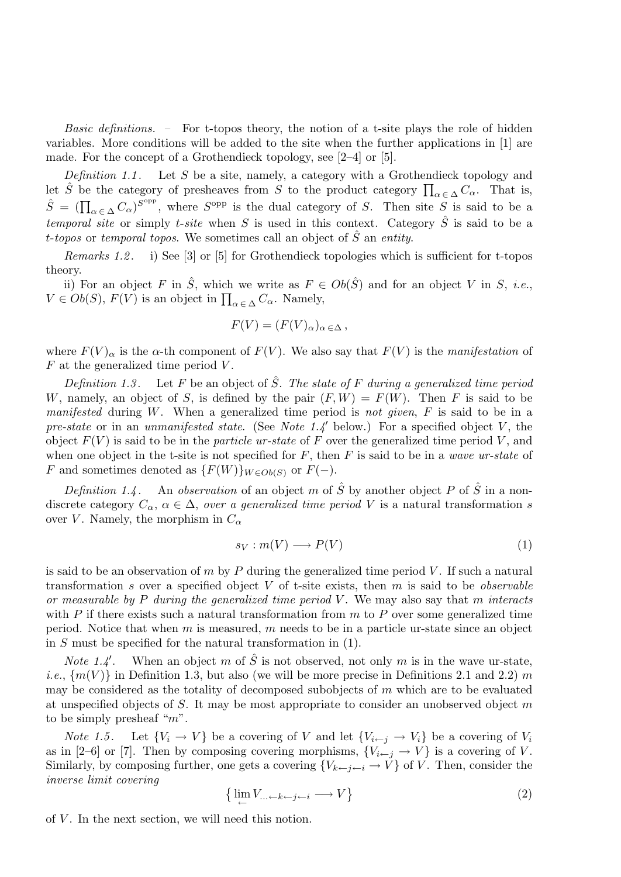*Basic definitions. –* For t-topos theory, the notion of a t-site plays the role of hidden variables. More conditions will be added to the site when the further applications in [1] are made. For the concept of a Grothendieck topology, see [2–4] or [5].

*Definition 1.1* . Let S be a site, namely, a category with a Grothendieck topology and let  $\hat{S}$  be the category of presheaves from  $S$  to the product category  $\prod_{\alpha \in \Delta} C_{\alpha}$ . That is,  $\hat{S} = (\prod_{\alpha \in \Delta} C_{\alpha})^{S^{\text{opp}}}$ , where  $S^{\text{opp}}$  is the dual category of S. Then site  $S$  is said to be a *temporal site* or simply *t-site* when S is used in this context. Category  $\hat{S}$  is said to be a t-*topos* or *temporal topos*. We sometimes call an object of Sˆ an *entity*.

*Remarks 1.2* . i) See [3] or [5] for Grothendieck topologies which is sufficient for t-topos theory.

ii) For an object F in  $\hat{S}$ , which we write as  $F \in Ob(\hat{S})$  and for an object V in S, *i.e.*,  $V \in Ob(S), F(V)$  is an object in  $\prod_{\alpha \in \Delta} C_{\alpha}$ . Namely,

$$
F(V) = (F(V)_{\alpha})_{\alpha \in \Delta},
$$

where  $F(V)_{\alpha}$  is the  $\alpha$ -th component of  $F(V)$ . We also say that  $F(V)$  is the *manifestation* of  $F$  at the generalized time period  $V$ .

*Definition 1.3* . Let F be an object of Sˆ. *The state of* F *during a generalized time period* W, namely, an object of S, is defined by the pair  $(F, W) = F(W)$ . Then F is said to be *manifested* during W. When a generalized time period is *not given*, F is said to be in a *pre-state* or in an *unmanifested state*. (See *Note 1.4* below.) For a specified object V , the object  $F(V)$  is said to be in the *particle ur-state* of F over the generalized time period V, and when one object in the t-site is not specified for F, then F is said to be in a *wave ur-state* of F and sometimes denoted as  $\{F(W)\}_{W\in Ob(S)}$  or  $F(-)$ .

*Definition 1.4* . An *observation* of an object m of  $\hat{S}$  by another object P of  $\hat{S}$  in a nondiscrete category  $C_{\alpha}$ ,  $\alpha \in \Delta$ , *over a generalized time period* V is a natural transformation s over V. Namely, the morphism in  $C_{\alpha}$ 

$$
s_V: m(V) \longrightarrow P(V) \tag{1}
$$

is said to be an observation of  $m$  by  $P$  during the generalized time period  $V$ . If such a natural transformation s over a specified object V of t-site exists, then m is said to be *observable or measurable by* P *during the generalized time period* V . We may also say that m *interacts* with P if there exists such a natural transformation from  $m$  to P over some generalized time period. Notice that when  $m$  is measured,  $m$  needs to be in a particle ur-state since an object in S must be specified for the natural transformation in (1).

*Note 1.4* When an object m of  $\hat{S}$  is not observed, not only m is in the wave ur-state, *i.e.*,  $\{m(V)\}\$ in Definition 1.3, but also (we will be more precise in Definitions 2.1 and 2.2) m may be considered as the totality of decomposed subobjects of  $m$  which are to be evaluated at unspecified objects of S. It may be most appropriate to consider an unobserved object m to be simply presheaf " $m$ ".

*Note 1.5*. Let  $\{V_i \rightarrow V\}$  be a covering of V and let  $\{V_{i \leftarrow j} \rightarrow V_i\}$  be a covering of  $V_i$ as in [2–6] or [7]. Then by composing covering morphisms,  ${V_{i \leftarrow j \rightarrow V}}$  is a covering of V. Similarly, by composing further, one gets a covering  ${V_{k \leftarrow j \leftarrow i} \rightarrow V}$  of V. Then, consider the *inverse limit covering*

$$
\left\{ \lim_{\leftarrow} V_{\dots \leftarrow k \leftarrow j \leftarrow i} \longrightarrow V \right\} \right\}
$$
 (2)

of  $V$ . In the next section, we will need this notion.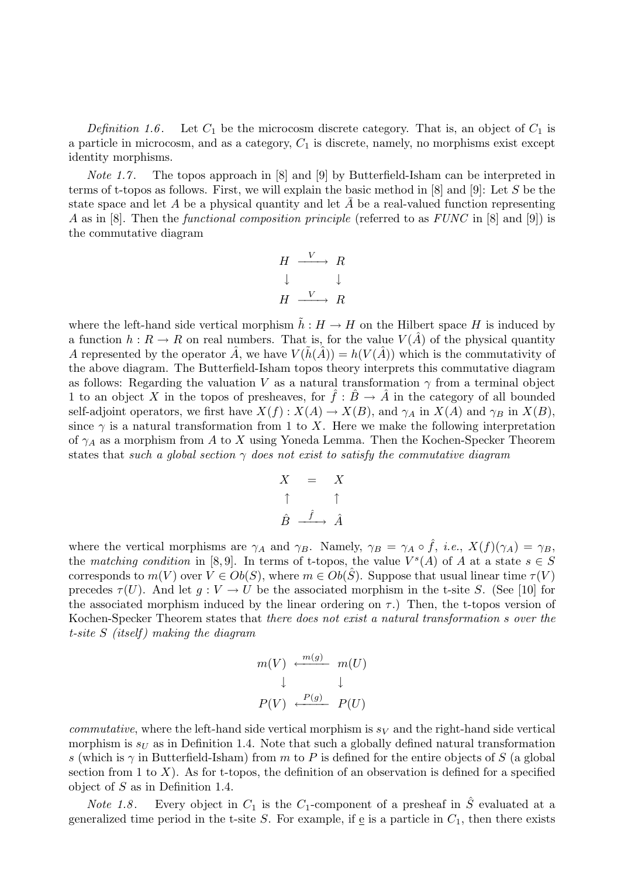*Definition* 1.6. Let  $C_1$  be the microcosm discrete category. That is, an object of  $C_1$  is a particle in microcosm, and as a category,  $C_1$  is discrete, namely, no morphisms exist except identity morphisms.

*Note 1.7*. The topos approach in [8] and [9] by Butterfield-Isham can be interpreted in terms of t-topos as follows. First, we will explain the basic method in [8] and [9]: Let S be the state space and let A be a physical quantity and let  $\overline{A}$  be a real-valued function representing A as in [8]. Then the *functional composition principle* (referred to as *FUNC* in [8] and [9]) is the commutative diagram

$$
H \xrightarrow{V} R
$$
  

$$
\downarrow \qquad \downarrow
$$
  

$$
H \xrightarrow{V} R
$$

where the left-hand side vertical morphism  $\tilde{h}: H \to H$  on the Hilbert space H is induced by a function  $h: R \to R$  on real numbers. That is, for the value  $V(\hat{A})$  of the physical quantity A represented by the operator A, we have  $V(h(A)) = h(V(A))$  which is the commutativity of the above diagram. The Butterfield-Isham topos theory interprets this commutative diagram as follows: Regarding the valuation V as a natural transformation  $\gamma$  from a terminal object 1 to an object X in the topos of presheaves, for  $\hat{f}: \hat{B} \to \hat{A}$  in the category of all bounded self-adjoint operators, we first have  $X(f) : X(A) \to X(B)$ , and  $\gamma_A$  in  $X(A)$  and  $\gamma_B$  in  $X(B)$ , since  $\gamma$  is a natural transformation from 1 to X. Here we make the following interpretation of  $\gamma_A$  as a morphism from A to X using Yoneda Lemma. Then the Kochen-Specker Theorem states that *such a global section* γ *does not exist to satisfy the commutative diagram*

$$
X = X
$$
  
\n
$$
\uparrow \qquad \uparrow
$$
  
\n
$$
\hat{B} \xrightarrow{\hat{f}} \hat{A}
$$

where the vertical morphisms are  $\gamma_A$  and  $\gamma_B$ . Namely,  $\gamma_B = \gamma_A \circ f$ , *i.e.*,  $X(f)(\gamma_A) = \gamma_B$ , the *matching condition* in [8,9]. In terms of t-topos, the value  $V^s(A)$  of A at a state  $s \in S$ corresponds to  $m(V)$  over  $V \in Ob(S)$ , where  $m \in Ob(S)$ . Suppose that usual linear time  $\tau(V)$ precedes  $\tau(U)$ . And let  $g: V \to U$  be the associated morphism in the t-site S. (See [10] for the associated morphism induced by the linear ordering on  $\tau$ .) Then, the t-topos version of Kochen-Specker Theorem states that *there does not exist a natural transformation* s *over the t-site* S *(itself ) making the diagram*

$$
m(V) \leftarrow \begin{array}{c} m(g) \\ \downarrow \\ \downarrow \end{array} \quad m(U)
$$
  

$$
P(V) \leftarrow \begin{array}{c} P(g) \\ \downarrow \end{array} \quad P(U)
$$

*commutative*, where the left-hand side vertical morphism is  $s_V$  and the right-hand side vertical morphism is  $s_U$  as in Definition 1.4. Note that such a globally defined natural transformation s (which is  $\gamma$  in Butterfield-Isham) from m to P is defined for the entire objects of S (a global section from 1 to  $X$ ). As for t-topos, the definition of an observation is defined for a specified object of  $S$  as in Definition 1.4.

*Note 1.8*. Every object in  $C_1$  is the  $C_1$ -component of a presheaf in  $\ddot{S}$  evaluated at a generalized time period in the t-site S. For example, if  $\underline{e}$  is a particle in  $C_1$ , then there exists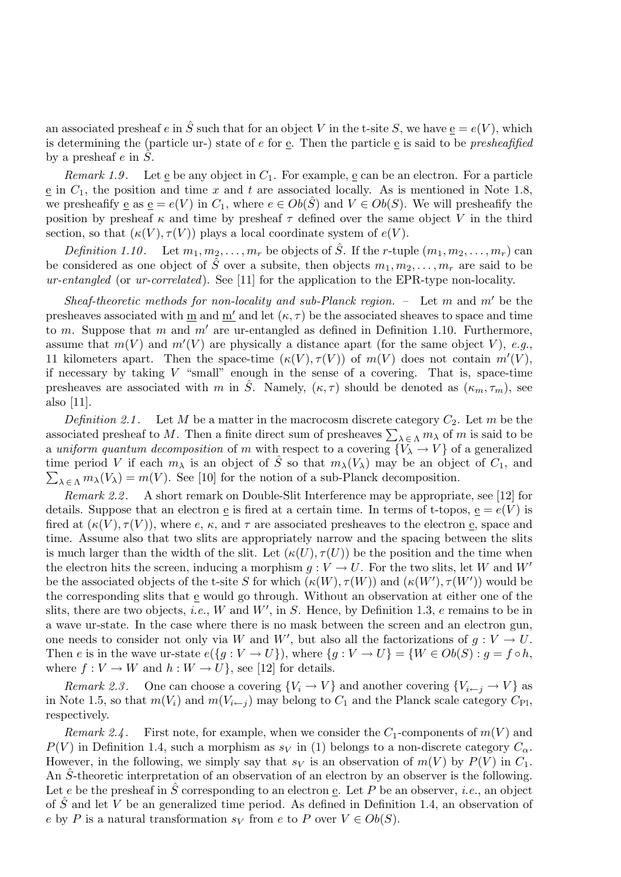an associated presheaf e in  $\hat{S}$  such that for an object V in the t-site S, we have  $e = e(V)$ , which is determining the (particle ur-) state of e for e. Then the particle e is said to be *presheafified* by a presheaf  $e$  in  $S$ .

*Remark 1.9.* Let  $\underline{e}$  be any object in  $C_1$ . For example,  $\underline{e}$  can be an electron. For a particle  $e$  in  $C_1$ , the position and time x and t are associated locally. As is mentioned in Note 1.8, we presheafify <u>e</u> as  $\underline{e} = e(V)$  in  $C_1$ , where  $e \in Ob(S)$  and  $V \in Ob(S)$ . We will presheafify the position by presheaf  $\kappa$  and time by presheaf  $\tau$  defined over the same object V in the third section, so that  $(\kappa(V), \tau(V))$  plays a local coordinate system of  $e(V)$ .

*Definition 1.10*. Let  $m_1, m_2, \ldots, m_r$  be objects of  $\hat{S}$ . If the r-tuple  $(m_1, m_2, \ldots, m_r)$  can be considered as one object of  $\hat{S}$  over a subsite, then objects  $m_1, m_2, \ldots, m_r$  are said to be *ur-entangled* (or *ur-correlated*). See [11] for the application to the EPR-type non-locality.

*Sheaf-theoretic methods for non-locality and sub-Planck region.* – Let m and m' be the presheaves associated with m and m' and let  $(\kappa, \tau)$  be the associated sheaves to space and time to m. Suppose that m and m' are ur-entangled as defined in Definition 1.10. Furthermore, assume that  $m(V)$  and  $m'(V)$  are physically a distance apart (for the same object V), *e.g.*, 11 kilometers apart. Then the space-time  $(\kappa(V), \tau(V))$  of  $m(V)$  does not contain  $m'(V)$ , if necessary by taking  $V$  "small" enough in the sense of a covering. That is, space-time presheaves are associated with m in  $\hat{S}$ . Namely,  $(\kappa, \tau)$  should be denoted as  $(\kappa_m, \tau_m)$ , see also [11].

*Definition 2.1*. Let M be a matter in the macrocosm discrete category  $C_2$ . Let m be the associated presheaf to M. Then a finite direct sum of presheaves  $\sum_{\lambda \in \Lambda} m_{\lambda}$  of m is said to be a *uniform quantum decomposition* of m with respect to a covering  $\{V_{\lambda} \to V\}$  of a generalized time period V if each  $m_\lambda$  is an object of  $\hat{S}$  so that  $m_\lambda(V_\lambda)$  may be an object of  $C_1$ , and  $\sum_{\lambda \in \Lambda} m_{\lambda}(V_{\lambda}) = m(V)$ . See [10] for the notion of a sub-Planck decomposition.

*Remark 2.2* . A short remark on Double-Slit Interference may be appropriate, see [12] for details. Suppose that an electron  $\underline{e}$  is fired at a certain time. In terms of t-topos,  $\underline{e} = e(V)$  is fired at  $(\kappa(V), \tau(V))$ , where  $e, \kappa$ , and  $\tau$  are associated presheaves to the electron e, space and time. Assume also that two slits are appropriately narrow and the spacing between the slits is much larger than the width of the slit. Let  $(\kappa(U), \tau(U))$  be the position and the time when the electron hits the screen, inducing a morphism  $g: V \to U$ . For the two slits, let W and W' be the associated objects of the t-site S for which  $(\kappa(W), \tau(W))$  and  $(\kappa(W'), \tau(W'))$  would be the corresponding slits that  $\underline{e}$  would go through. Without an observation at either one of the slits, there are two objects, *i.e.*,  $W$  and  $W'$ , in  $S$ . Hence, by Definition 1.3,  $e$  remains to be in a wave ur-state. In the case where there is no mask between the screen and an electron gun, one needs to consider not only via W and W', but also all the factorizations of  $g: V \to U$ . Then e is in the wave ur-state  $e({g : V \to U})$ , where  ${g : V \to U} = {W \in Ob(S) : g = f \circ h}$ , where  $f: V \to W$  and  $h: W \to U$ , see [12] for details.

*Remark 2.3*. One can choose a covering  $\{V_i \to V\}$  and another covering  $\{V_{i \leftarrow j \to V\}}$  as in Note 1.5, so that  $m(V_i)$  and  $m(V_{i\leftarrow j})$  may belong to  $C_1$  and the Planck scale category  $C_{\text{Pl}}$ , respectively.

*Remark 2.4*. First note, for example, when we consider the  $C_1$ -components of  $m(V)$  and  $P(V)$  in Definition 1.4, such a morphism as  $s_V$  in (1) belongs to a non-discrete category  $C_{\alpha}$ . However, in the following, we simply say that  $s_V$  is an observation of  $m(V)$  by  $P(V)$  in  $C_1$ . An  $\hat{S}$ -theoretic interpretation of an observation of an electron by an observer is the following. Let e be the presheaf in  $\hat{S}$  corresponding to an electron  $\underline{e}$ . Let P be an observer, *i.e.*, an object of  $\hat{S}$  and let V be an generalized time period. As defined in Definition 1.4, an observation of e by P is a natural transformation  $s_V$  from e to P over  $V \in Ob(S)$ .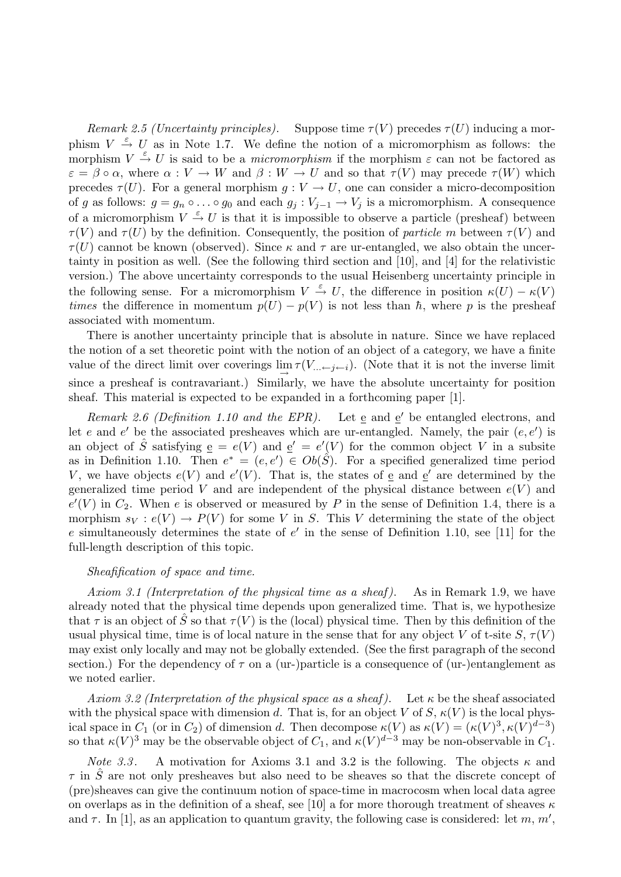*Remark 2.5 (Uncertainty principles).* Suppose time  $\tau(V)$  precedes  $\tau(U)$  inducing a morphism  $V \stackrel{\varepsilon}{\rightarrow} U$  as in Note 1.7. We define the notion of a micromorphism as follows: the morphism  $V \stackrel{\varepsilon}{\rightarrow} U$  is said to be a *micromorphism* if the morphism  $\varepsilon$  can not be factored as  $\varepsilon = \beta \circ \alpha$ , where  $\alpha : V \to W$  and  $\beta : W \to U$  and so that  $\tau(V)$  may precede  $\tau(W)$  which precedes  $\tau(U)$ . For a general morphism  $g: V \to U$ , one can consider a micro-decomposition of g as follows:  $g = g_n \circ \dots \circ g_0$  and each  $g_j : V_{j-1} \to V_j$  is a micromorphism. A consequence of a micromorphism  $V \stackrel{\varepsilon}{\rightarrow} U$  is that it is impossible to observe a particle (presheaf) between  $\tau(V)$  and  $\tau(U)$  by the definition. Consequently, the position of *particle* m between  $\tau(V)$  and  $\tau(U)$  cannot be known (observed). Since  $\kappa$  and  $\tau$  are ur-entangled, we also obtain the uncertainty in position as well. (See the following third section and [10], and [4] for the relativistic version.) The above uncertainty corresponds to the usual Heisenberg uncertainty principle in the following sense. For a micromorphism  $V \stackrel{\varepsilon}{\to} U$ , the difference in position  $\kappa(U) - \kappa(V)$ *times* the difference in momentum  $p(U) - p(V)$  is not less than  $\hbar$ , where p is the presheaf associated with momentum.

There is another uncertainty principle that is absolute in nature. Since we have replaced the notion of a set theoretic point with the notion of an object of a category, we have a finite value of the direct limit over coverings  $\lim_{\epsilon \to 0} \tau(V_{... \epsilon, j \epsilon, i})$ . (Note that it is not the inverse limit since a presheaf is contravariant.) Similarly, we have the absolute uncertainty for position sheaf. This material is expected to be expanded in a forthcoming paper [1].

*Remark 2.6 (Definition 1.10 and the EPR)*. Let e and e' be entangled electrons, and let e and e' be the associated presheaves which are ur-entangled. Namely, the pair  $(e, e')$  is an object of  $\hat{S}$  satisfying  $\underline{e} = e(V)$  and  $\underline{e}' = e'(V)$  for the common object V in a subsite as in Definition 1.10. Then  $e^* = (e, e') \in Ob(\hat{S})$ . For a specified generalized time period V, we have objects  $e(V)$  and  $e'(V)$ . That is, the states of  $\underline{e}$  and  $\underline{e}'$  are determined by the generalized time period V and are independent of the physical distance between  $e(V)$  and  $e'(V)$  in  $C_2$ . When e is observed or measured by P in the sense of Definition 1.4, there is a morphism  $s_V : e(V) \to P(V)$  for some V in S. This V determining the state of the object e simultaneously determines the state of  $e'$  in the sense of Definition 1.10, see [11] for the full-length description of this topic.

## *Sheafification of space and time.*

*Axiom 3.1 (Interpretation of the physical time as a sheaf )*. As in Remark 1.9, we have already noted that the physical time depends upon generalized time. That is, we hypothesize that  $\tau$  is an object of  $\tilde{S}$  so that  $\tau(V)$  is the (local) physical time. Then by this definition of the usual physical time, time is of local nature in the sense that for any object V of t-site  $S, \tau(V)$ may exist only locally and may not be globally extended. (See the first paragraph of the second section.) For the dependency of  $\tau$  on a (ur-)particle is a consequence of (ur-)entanglement as we noted earlier.

*Axiom 3.2 (Interpretation of the physical space as a sheaf)*. Let  $\kappa$  be the sheaf associated with the physical space with dimension d. That is, for an object V of S,  $\kappa(V)$  is the local physical space in  $C_1$  (or in  $C_2$ ) of dimension d. Then decompose  $\kappa(V)$  as  $\kappa(V) = (\kappa(V)^3, \kappa(V)^{d-3})$ so that  $\kappa(V)^3$  may be the observable object of  $C_1$ , and  $\kappa(V)^{d-3}$  may be non-observable in  $C_1$ .

*Note 3.3*. A motivation for Axioms 3.1 and 3.2 is the following. The objects  $\kappa$  and  $\tau$  in S<sup> $\sigma$ </sup> are not only presheaves but also need to be sheaves so that the discrete concept of (pre)sheaves can give the continuum notion of space-time in macrocosm when local data agree on overlaps as in the definition of a sheaf, see [10] a for more thorough treatment of sheaves  $\kappa$ and  $\tau$ . In [1], as an application to quantum gravity, the following case is considered: let m, m',